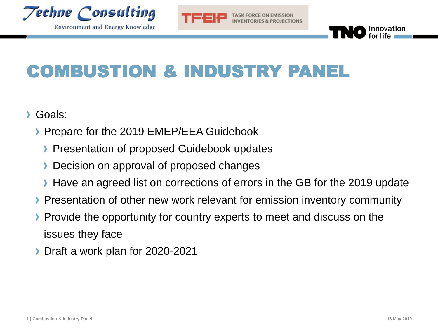

TASK FORCE ON EMISSION



# COMBUSTION & INDUSTRY PANEL

- Goals:
	- **Prepare for the 2019 EMEP/EEA Guidebook** 
		- **Presentation of proposed Guidebook updates**
		- Decision on approval of proposed changes
		- **Have an agreed list on corrections of errors in the GB for the 2019 update**
	- Presentation of other new work relevant for emission inventory community
	- **Provide the opportunity for country experts to meet and discuss on the** issues they face
	- **Draft a work plan for 2020-2021**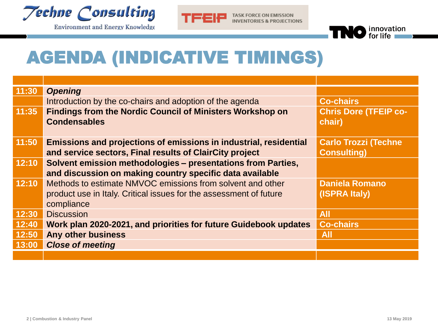



**TASK FORCE ON EMISSION INVENTORIES & PROJECTIONS** 



## AGENDA (INDICATIVE TIMINGS)

| 11:30 | <b>Opening</b>                                                     |                              |
|-------|--------------------------------------------------------------------|------------------------------|
|       | Introduction by the co-chairs and adoption of the agenda           | <b>Co-chairs</b>             |
| 11:35 | <b>Findings from the Nordic Council of Ministers Workshop on</b>   | <b>Chris Dore (TFEIP co-</b> |
|       | <b>Condensables</b>                                                | chair)                       |
|       |                                                                    |                              |
| 11:50 | Emissions and projections of emissions in industrial, residential  | <b>Carlo Trozzi (Techne</b>  |
|       | and service sectors, Final results of ClairCity project            | <b>Consulting)</b>           |
| 12:10 | Solvent emission methodologies - presentations from Parties,       |                              |
|       | and discussion on making country specific data available           |                              |
| 12:10 | Methods to estimate NMVOC emissions from solvent and other         | <b>Daniela Romano</b>        |
|       | product use in Italy. Critical issues for the assessment of future | (ISPRA Italy)                |
|       | compliance                                                         |                              |
| 12:30 | <b>Discussion</b>                                                  | <b>All</b>                   |
| 12:40 | Work plan 2020-2021, and priorities for future Guidebook updates   | <b>Co-chairs</b>             |
| 12:50 | <b>Any other business</b>                                          | <b>All</b>                   |
| 13:00 | <b>Close of meeting</b>                                            |                              |
|       |                                                                    |                              |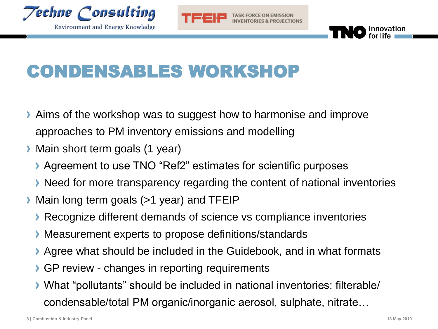



# CONDENSABLES WORKSHOP

- Aims of the workshop was to suggest how to harmonise and improve approaches to PM inventory emissions and modelling
- **Main short term goals (1 year)** 
	- **Agreement to use TNO "Ref2" estimates for scientific purposes**
	- **Need for more transparency regarding the content of national inventories**
- Main long term goals (>1 year) and TFEIP
	- Recognize different demands of science vs compliance inventories
	- Measurement experts to propose definitions/standards
	- Agree what should be included in the Guidebook, and in what formats
	- GP review changes in reporting requirements
	- What "pollutants" should be included in national inventories: filterable/ condensable/total PM organic/inorganic aerosol, sulphate, nitrate…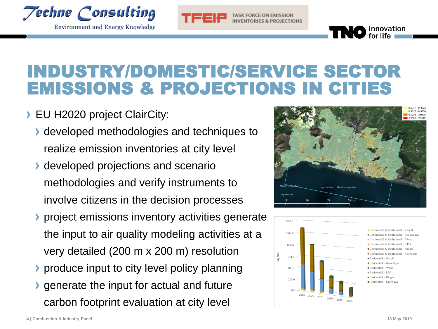



**TASK FORCE ON EMISSION** 

#### INDUSTRY/DOMESTIC/SERVICE SECTOR EMISSIONS & PROJECTIONS IN CITIES

- EU H2020 project ClairCity:
	- **I** developed methodologies and techniques to realize emission inventories at city level
	- **developed projections and scenario** methodologies and verify instruments to involve citizens in the decision processes
	- project emissions inventory activities generate the input to air quality modeling activities at a very detailed (200 m x 200 m) resolution
	- produce input to city level policy planning
	- generate the input for actual and future carbon footprint evaluation at city level



innovation<br>for life

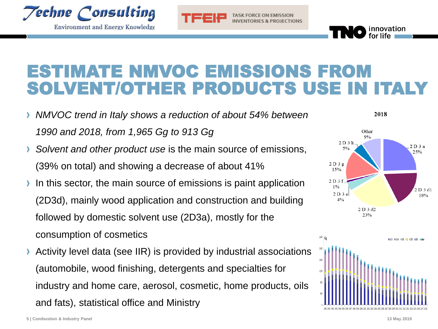

**Environment and Energy Knowledge** 



### ESTIMATE NMVOC EMISSIONS FROM SOLVENT/OTHER PRODUCTS USE IN ITALY

- *NMVOC trend in Italy shows a reduction of about 54% between 1990 and 2018, from 1,965 Gg to 913 Gg*
- *Solvent and other product use* is the main source of emissions, (39% on total) and showing a decrease of about 41%
- In this sector, the main source of emissions is paint application  $\lambda$ (2D3d), mainly wood application and construction and building followed by domestic solvent use (2D3a), mostly for the consumption of cosmetics
- Activity level data (see IIR) is provided by industrial associations (automobile, wood finishing, detergents and specialties for industry and home care, aerosol, cosmetic, home products, oils and fats), statistical office and Ministry



2018

innovation<br>for life